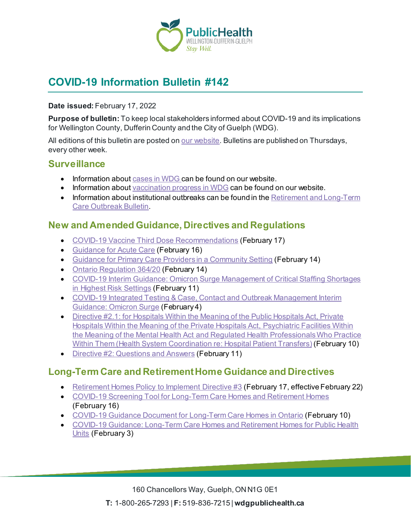

# **COVID-19 Information Bulletin #142**

#### **Date issued:** February 17, 2022

**Purpose of bulletin:** To keep local stakeholders informed about COVID-19 and its implications for Wellington County, Dufferin County and the City of Guelph (WDG).

All editions of this bulletin are posted o[n our website](https://www.wdgpublichealth.ca/your-health/covid-19-information-workplaces-and-living-spaces/community-stakeholder-bulletins). Bulletins are published on Thursdays, every other week.

#### **Surveillance**

- Information about [cases in WDG](https://wdgpublichealth.ca/your-health/covid-19-information-public/status-cases-wdg) can be found on our website.
- Information abou[t vaccination progress](https://www.wdgpublichealth.ca/your-health/covid-19-information-public/covid-19-vaccine-information-public) in WDG can be found on our website.
- Information about institutional outbreaks can be found in the Retirement and Long-Term [Care Outbreak Bulletin.](https://wdgpublichealth.ca/node/1542)

#### **New and Amended Guidance, Directives and Regulations**

- [COVID-19 Vaccine Third Dose Recommendations](https://www.health.gov.on.ca/en/pro/programs/publichealth/coronavirus/docs/vaccine/COVID-19_vaccine_third_dose_recommendations.pdf) (February 17)
- [Guidance for Acute Care](https://www.health.gov.on.ca/en/pro/programs/publichealth/coronavirus/docs/2019_acute_care_guidance.pdf) (February 16)
- [Guidance for Primary Care Providers in a Community Setting](https://www.health.gov.on.ca/en/pro/programs/publichealth/coronavirus/docs/2019_primary_care_guidance.pdf) (February 14)
- [Ontario Regulation 364/20](https://www.ontario.ca/laws/regulation/200364) (February 14)
- [COVID-19 Interim Guidance: Omicron Surge Management of Critical Staffing Shortages](https://www.health.gov.on.ca/en/pro/programs/publichealth/coronavirus/docs/early_return%20_to_work.pdf)  [in Highest Risk Settings](https://www.health.gov.on.ca/en/pro/programs/publichealth/coronavirus/docs/early_return%20_to_work.pdf) (February 11)
- [COVID-19 Integrated Testing & Case, Contact and Outbreak Management Interim](https://www.health.gov.on.ca/en/pro/programs/publichealth/coronavirus/docs/contact_mngmt/management_cases_contacts_omicron.pdf)  [Guidance: Omicron Surge](https://www.health.gov.on.ca/en/pro/programs/publichealth/coronavirus/docs/contact_mngmt/management_cases_contacts_omicron.pdf) (February 4)
- [Directive #2.1: for Hospitals Within the Meaning of the](https://www.health.gov.on.ca/en/pro/programs/publichealth/coronavirus/docs/directives/directive_2.1_public_hopitals_act.pdf) Public Hospitals Act, Private [Hospitals Within the Meaning of the](https://www.health.gov.on.ca/en/pro/programs/publichealth/coronavirus/docs/directives/directive_2.1_public_hopitals_act.pdf) Private Hospitals Act, Psychiatric Facilities Within the Meaning of the Mental Health Act [and Regulated Health Professionals Who Practice](https://www.health.gov.on.ca/en/pro/programs/publichealth/coronavirus/docs/directives/directive_2.1_public_hopitals_act.pdf)  Within Them [\(Health System Coordination re: Hospital Patient Transfers\)](https://www.health.gov.on.ca/en/pro/programs/publichealth/coronavirus/docs/directives/directive_2.1_public_hopitals_act.pdf) (February 10)
- [Directive #2: Questions and Answers](https://www.health.gov.on.ca/en/pro/programs/publichealth/coronavirus/docs/directives/directive_2_qa.pdf) (February 11)

### **Long-Term Care and Retirement Home Guidance and Directives**

- [Retirement Homes Policy to Implement Directive #3](https://rhra.us14.list-manage.com/track/click?u=87d4aaf3fb1d53c0eda5af7e1&id=759ccfedc9&e=da46e553ed) (February 17, effective February 22)
- [COVID-19 Screening Tool for Long-Term Care Homes and Retirement Homes](https://www.health.gov.on.ca/en/pro/programs/publichealth/coronavirus/docs/2019_screening_guidance.pdf) (February 16)
- [COVID-19 Guidance Document for](https://www.ontario.ca/page/covid-19-guidance-document-long-term-care-homes-ontario) Long-Term Care Homes in Ontario (February 10)
- [COVID-19 Guidance: Long-Term Care Homes and Retirement Homes for Public Health](https://www.health.gov.on.ca/en/pro/programs/publichealth/coronavirus/docs/2019_LTC_homes_retirement_homes_for_PHUs_guidance.pdf)  [Units](https://www.health.gov.on.ca/en/pro/programs/publichealth/coronavirus/docs/2019_LTC_homes_retirement_homes_for_PHUs_guidance.pdf) (February 3)

160 Chancellors Way, Guelph, ON N1G 0E1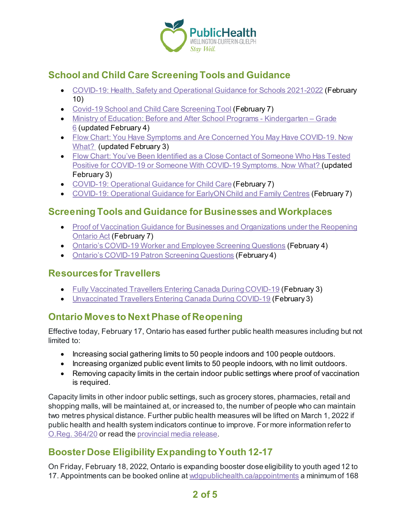

# **School and Child Care Screening Tools and Guidance**

- [COVID-19: Health, Safety and Operational Guidance for Schools 2021-2022](https://www.ontario.ca/document/covid-19-health-safety-and-operational-guidance-schools-2021-2022) (February 10)
- [Covid-19 School and Child Care Screening](https://covid-19.ontario.ca/school-screening/) Tool (February 7)
- [Ministry of Education: Before and After School Programs -](https://www.ontario.ca/document/before-and-after-school-programs-kindergarten-grade-6-policies-and-guidelines-school-boards) Kindergarten Grade [6](https://www.ontario.ca/document/before-and-after-school-programs-kindergarten-grade-6-policies-and-guidelines-school-boards) (updated February 4)
- Flow Chart: You [Have Symptoms and Are Concerned You May Have](https://wdgpublichealth.ca/sites/default/files/you_have_symptoms_and_are_concerned_you_may_have_covid-19_now_what_feb_3_2022.pdf) COVID-19. Now [What?](https://wdgpublichealth.ca/sites/default/files/you_have_symptoms_and_are_concerned_you_may_have_covid-19_now_what_feb_3_2022.pdf) (updated February 3)
- Flow Chart: [You've Been Identified as a Close Contact of Someone Who Has Tested](https://wdgpublichealth.ca/sites/default/files/someone_with_covid-19_symptoms_now_what.pdf)  Positive for COVID-19 or Someone With [COVID-19 Symptoms. Now What?](https://wdgpublichealth.ca/sites/default/files/someone_with_covid-19_symptoms_now_what.pdf) (updated February 3)
- [COVID-19: Operational Guidance for Child Care](https://www.ontario.ca/document/covid-19-operational-guidance-child-care) (February 7)
- [COVID-19: Operational Guidance for EarlyON Child and Family Centres](https://www.ontario.ca/document/covid-19-operational-guidance-earlyon-child-and-family-centres) (February 7)

### **Screening Tools and Guidance for Businesses and Workplaces**

- Proof of Vaccination Guidance for Businesses and Organizations under the Reopening [Ontario Act](https://www.health.gov.on.ca/en/pro/programs/publichealth/coronavirus/docs/guidance_proof_of_vaccination_for_businesses_and_organizations.pdf) (February 7)
- Ontario's [COVID-19 Worker and Employee Screening Questions](https://covid-19.ontario.ca/screening/worker/) (February 4)
- Ontario's COVID-19 Patron [Screening Questions](https://covid-19.ontario.ca/screening/customer/) (February 4)

## **Resources for Travellers**

- [Fully Vaccinated Travellers Entering Canada During COVID-19](https://www.canada.ca/en/public-health/services/publications/diseases-conditions/fully-vaccinated-travellers-entering-canada-covid-19.html) (February 3)
- [Unvaccinated Travellers Entering Canada](https://www.canada.ca/en/public-health/services/publications/diseases-conditions/unvaccinated-travellers-entering-canada-covid-19.html) During COVID-19 (February 3)

# **Ontario Moves to Next Phase of Reopening**

Effective today, February 17, Ontario has eased further public health measures including but not limited to:

- Increasing social gathering limits to 50 people indoors and 100 people outdoors.
- Increasing organized public event limits to 50 people indoors, with no limit outdoors.
- Removing capacity limits in the certain indoor public settings where proof of vaccination is required.

Capacity limits in other indoor public settings, such as grocery stores, pharmacies, retail and shopping malls, will be maintained at, or increased to, the number of people who can maintain two metres physical distance. Further public health measures will be lifted on March 1, 2022 if public health and health system indicators continue to improve. For more information refer to [O.Reg. 364/20](https://www.ontario.ca/laws/regulation/200364) or read th[e provincial media release](https://news.ontario.ca/en/release/1001600/ontario-moving-to-next-phase-of-reopening-on-february-17).

# **Booster Dose Eligibility Expanding to Youth 12-17**

On Friday, February 18, 2022, Ontario is expanding booster dose eligibility to youth aged 12 to 17. Appointments can be booked online a[t wdgpublichealth.ca/appointments](https://wdgpublichealth.ca/appointments) a minimum of 168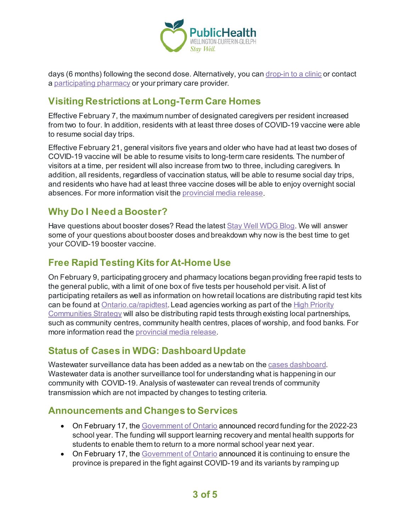

days (6 months) following the second dose. Alternatively, you can [drop-in to a clinic](https://wdgpublichealth.ca/your-health/covid-19-information-public/covid-19-vaccine-information/drop-covid-19-vaccine-clinics) or contact a [participating pharmacy](https://covid-19.ontario.ca/vaccine-locations) or your primary care provider.

### **Visiting Restrictions at Long-Term Care Homes**

Effective February 7, the maximum number of designated caregivers per resident increased from two to four. In addition, residents with at least three doses of COVID-19 vaccine were able to resume social day trips.

Effective February 21, general visitors five years and older who have had at least two doses of COVID-19 vaccine will be able to resume visits to long-term care residents. The number of visitors at a time, per resident will also increase from two to three, including caregivers. In addition, all residents, regardless of vaccination status, will be able to resume social day trips, and residents who have had at least three vaccine doses will be able to enjoy overnight social absences. For more information visit th[e provincial media release](https://news.ontario.ca/en/release/1001534/ontario-easing-temporary-visiting-restrictions-at-long-term-care-homes).

### **Why Do I Need a Booster?**

Have questions about booster doses? Read the lates[t Stay Well WDG Blog.](https://wdgpublichealth.ca/blog/why-do-i-need-booster-your-booster-dose-questions-answered) We will answer some of your questions about booster doses and breakdown why now is the best time to get your COVID-19 booster vaccine.

### **Free Rapid Testing Kits for At-Home Use**

On February 9, participating grocery and pharmacy locations began providing free rapid tests to the general public, with a limit of one box of five tests per household per visit. A list of participating retailers as well as information on how retail locations are distributing rapid test kits can be found at [Ontario.ca/rapidtest](https://www.ontario.ca/page/rapid-testing-home-use). Lead agencies working as part of the [High Priority](https://news.ontario.ca/en/backgrounder/59793/ontario-supporting-high-priority-communities)  [Communities Strategy](https://news.ontario.ca/en/backgrounder/59793/ontario-supporting-high-priority-communities) will also be distributing rapid tests through existing local partnerships, such as community centres, community health centres, places of worship, and food banks. For more information read th[e provincial media release](https://news.ontario.ca/en/release/1001575/ontario-expanding-access-to-free-rapid-tests-for-general-public).

## **Status of Cases in WDG: Dashboard Update**

Wastewater surveillance data has been added as a new tab on the [cases dashboard.](https://wdgpublichealth.ca/your-health/covid-19-information-public/status-cases-wdg) Wastewater data is another surveillance tool for understanding what is happening in our community with COVID-19. Analysis of wastewater can reveal trends of community transmission which are not impacted by changes to testing criteria.

#### **Announcements and Changes to Services**

- On February 17, th[e Government of Ontario](https://news.ontario.ca/en/release/1001623/ontario-launches-largest-tutoring-support-program) announced record funding for the 2022-23 school year. The funding will support learning recovery and mental health supports for students to enable them to return to a more normal school year next year.
- On February 17, th[e Government of Ontario](https://news.ontario.ca/en/release/1001610/ontario-bolstering-stockpile-and-distributing-record-levels-of-critical-supplies) announced it is continuing to ensure the province is prepared in the fight against COVID-19 and its variants by ramping up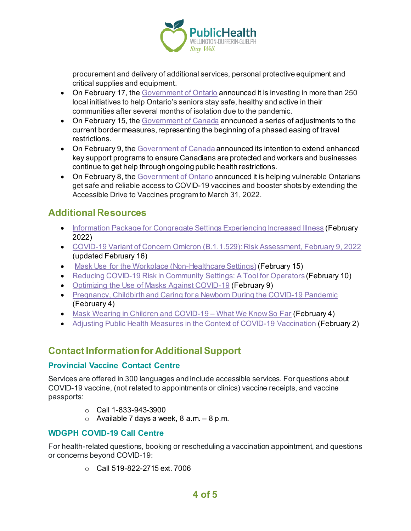

procurement and delivery of additional services, personal protective equipment and critical supplies and equipment.

- On February 17, th[e Government of Ontario](https://news.ontario.ca/en/release/1001619/ontario-keeping-seniors-healthy-and-engaged) announced it is investing in more than 250 local initiatives to help Ontario's seniors stay safe, healthy and active in their communities after several months of isolation due to the pandemic.
- On February 15, th[e Government of Canada](https://www.canada.ca/en/public-health/news/2022/02/government-of-canada-lightens-border-measures-as-part-of-transition-of-the-pandemic-response.html) announced a series of adjustments to the current border measures, representing the beginning of a phased easing of travel restrictions.
- On February 9, th[e Government of Canada](https://www.canada.ca/en/department-finance/news/2022/02/government-extends-expanded-access-to-local-lockdown-program-and-worker-lockdown-benefit.html) announced its intention to extend enhanced key support programs to ensure Canadians are protected and workers and businesses continue to get help through ongoing public health restrictions.
- On February 8, th[e Government of Ontario](https://news.ontario.ca/en/release/1001563/ontario-extending-free-rides-to-vaccination-sites-for-people-with-mobility-issues) announced it is helping vulnerable Ontarians get safe and reliable access to COVID-19 vaccines and booster shots by extending the Accessible Drive to Vaccines program to March 31, 2022.

### **Additional Resources**

- [Information Package for Congregate Settings Experiencing Increased](https://wdgpublichealth.ca/sites/default/files/information_package_for_congregate_settings_experiencing_increased_illness.pdf) Illness (February 2022)
- [COVID-19 Variant of Concern Omicron \(B.1.1.529\): Risk Assessment, February 9, 2022](https://www.publichealthontario.ca/-/media/Documents/nCoV/voc/covid-19-omicron-b11529-risk-assessment.pdf?sc_lang=en) (updated February 16)
- [Mask Use for the Workplace \(Non-Healthcare Settings\)](https://www.publichealthontario.ca/-/media/Documents/nCoV/Factsheet/2020/05/factsheet-covid-19-masks-not-healthcare.pdf?la=en&sc_lang=en&hash=5EEC89AE3E2B3938E13626AC198924E3) (February 15)
- [Reducing COVID-19 Risk in Community Settings: A Tool for Operators](https://health.canada.ca/en/public-health/services/diseases/2019-novel-coronavirus-infection/guidance-documents/reducing-covid-19-risk-community-settings-tool-operators.html) (February 10)
- [Optimizing the Use of Masks Against COVID-19](https://www.publichealthontario.ca/-/media/documents/ncov/covid-19-fact-sheet-optimizing-masks.pdf?sc_lang=en&hash=EDA29B0E81CDCFBAC2CED5869A20AE83) (February 9)
- [Pregnancy, Childbirth and Caring for a Newborn During the COVID-19 Pandemic](https://www.canada.ca/en/public-health/services/diseases/2019-novel-coronavirus-infection/awareness-resources/pregnancy-childbirth-newborn.html) (February 4)
- [Mask Wearing in Children and COVID-19 –](https://www.publichealthontario.ca/-/media/Documents/nCoV/COVID-WWKSF/2021/08/wwksf-wearing-masks-children.pdf?sc_lang=en) What We Know So Far (February 4)
- [Adjusting Public Health Measures in the Context of COVID-19 Vaccination](https://www.canada.ca/en/public-health/services/diseases/2019-novel-coronavirus-infection/guidance-documents/adjusting-public-health-measures-vaccination.html) (February 2)

## **Contact Information for Additional Support**

#### **Provincial Vaccine Contact Centre**

Services are offered in 300 languages and include accessible services. For questions about COVID-19 vaccine, (not related to appointments or clinics) vaccine receipts, and vaccine passports:

- $O$  Call 1-833-943-3900
- $\circ$  Available 7 days a week, 8 a.m.  $-8$  p.m.

#### **WDGPH COVID-19 Call Centre**

For health-related questions, booking or rescheduling a vaccination appointment, and questions or concerns beyond COVID-19:

o Call 519-822-2715 ext. 7006